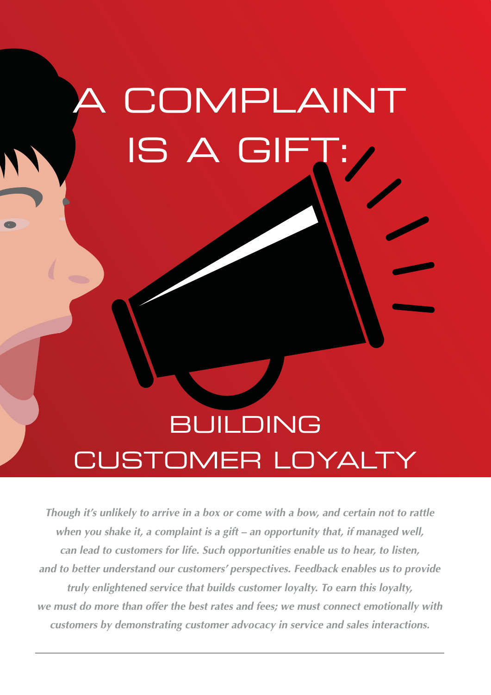# COMPLAINT IS A GIFT

## BUILDING CUSTOMER LOYALTY

**Though it's unlikely to arrive in a box or come with a bow, and certain not to rattle when you shake it, a complaint is a gift – an opportunity that, if managed well, can lead to customers for life. Such opportunities enable us to hear, to listen, and to better understand our customers' perspectives. Feedback enables us to provide truly enlightened service that builds customer loyalty. To earn this loyalty, we must do more than offer the best rates and fees; we must connect emotionally with customers by demonstrating customer advocacy in service and sales interactions.**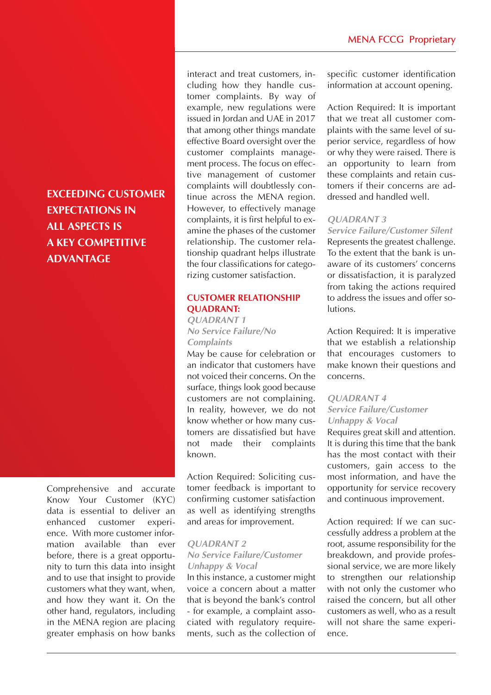### **EXCEEDING CUSTOMER EXPECTATIONS IN ALL ASPECTS IS A KEY COMPETITIVE ADVANTAGE**

Comprehensive and accurate Know Your Customer (KYC) data is essential to deliver an enhanced customer experience. With more customer information available than ever before, there is a great opportunity to turn this data into insight and to use that insight to provide customers what they want, when, and how they want it. On the other hand, regulators, including in the MENA region are placing greater emphasis on how banks interact and treat customers, including how they handle customer complaints. By way of example, new regulations were issued in Jordan and UAE in 2017 that among other things mandate effective Board oversight over the customer complaints management process. The focus on effective management of customer complaints will doubtlessly continue across the MENA region. However, to effectively manage complaints, it is first helpful to examine the phases of the customer relationship. The customer relationship quadrant helps illustrate the four classifications for categorizing customer satisfaction.

#### **CUSTOMER RELATIONSHIP QUADRANT:**

#### **QUADRANT 1 No Service Failure/No Complaints**

May be cause for celebration or an indicator that customers have not voiced their concerns. On the surface, things look good because customers are not complaining. In reality, however, we do not know whether or how many customers are dissatisfied but have not made their complaints known.

Action Required: Soliciting customer feedback is important to confirming customer satisfaction as well as identifying strengths and areas for improvement.

#### **QUADRANT 2**

#### **No Service Failure/Customer Unhappy & Vocal**

In this instance, a customer might voice a concern about a matter that is beyond the bank's control - for example, a complaint associated with regulatory requirements, such as the collection of specific customer identification information at account opening.

Action Required: It is important that we treat all customer complaints with the same level of superior service, regardless of how or why they were raised. There is an opportunity to learn from these complaints and retain customers if their concerns are addressed and handled well.

#### **QUADRANT 3**

**Service Failure/Customer Silent** Represents the greatest challenge. To the extent that the bank is unaware of its customers' concerns or dissatisfaction, it is paralyzed from taking the actions required to address the issues and offer solutions.

Action Required: It is imperative that we establish a relationship that encourages customers to make known their questions and concerns.

#### **QUADRANT 4 Service Failure/Customer Unhappy & Vocal**

Requires great skill and attention. It is during this time that the bank has the most contact with their customers, gain access to the most information, and have the opportunity for service recovery and continuous improvement.

Action required: If we can successfully address a problem at the root, assume responsibility for the breakdown, and provide professional service, we are more likely to strengthen our relationship with not only the customer who raised the concern, but all other customers as well, who as a result will not share the same experience.